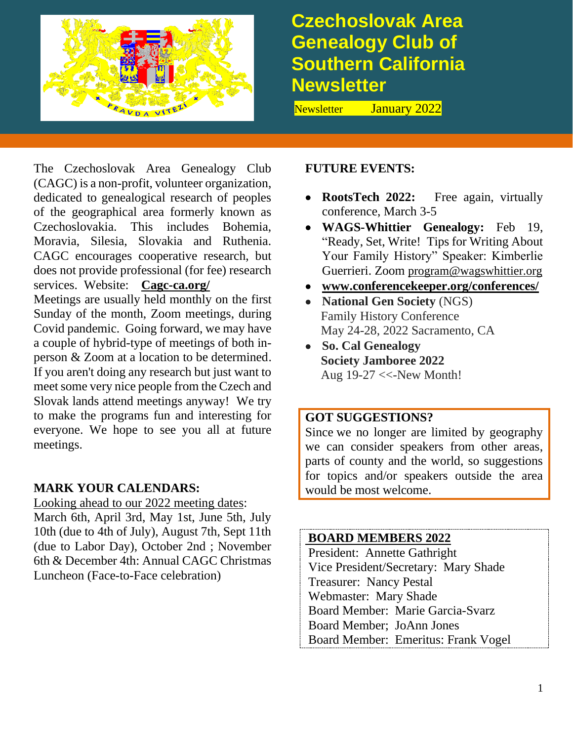

# **Czechoslovak Area Genealogy Club of Southern California Newsletter**

Newsletter January 2022

The Czechoslovak Area Genealogy Club (CAGC) is a non-profit, volunteer organization, dedicated to genealogical research of peoples of the geographical area formerly known as Czechoslovakia. This includes Bohemia, Moravia, Silesia, Slovakia and Ruthenia. CAGC encourages cooperative research, but does not provide professional (for fee) research services. Website: **[Cagc-ca.org/](http://cagc-ca.org/)**

Meetings are usually held monthly on the first Sunday of the month, Zoom meetings, during Covid pandemic. Going forward, we may have a couple of hybrid-type of meetings of both inperson & Zoom at a location to be determined. If you aren't doing any research but just want to meet some very nice people from the Czech and Slovak lands attend meetings anyway! We try to make the programs fun and interesting for everyone. We hope to see you all at future meetings.

# **MARK YOUR CALENDARS:**

Looking ahead to our 2022 meeting dates: March 6th, April 3rd, May 1st, June 5th, July 10th (due to 4th of July), August 7th, Sept 11th (due to Labor Day), October 2nd ; November 6th & December 4th: Annual CAGC Christmas Luncheon (Face-to-Face celebration)

# **FUTURE EVENTS:**

- **RootsTech 2022:** Free again, virtually conference, March 3-5
- **WAGS-Whittier Genealogy:** Feb 19, "Ready, Set, Write! Tips for Writing About Your Family History" Speaker: Kimberlie Guerrieri. Zoom [program@wagswhittier.org](mailto:program@wagswhittier.org)
- **[www.conferencekeeper.org/conferences/](http://conferencekeeper.org/conferences/)**
- **National Gen Society** (NGS) Family History Conference May 24-28, 2022 Sacramento, CA
- **So. Cal Genealogy Society Jamboree 2022** Aug 19-27 <<-New Month!

# **GOT SUGGESTIONS?**

Since we no longer are limited by geography we can consider speakers from other areas, parts of county and the world, so suggestions for topics and/or speakers outside the area would be most welcome.

#### **BOARD MEMBERS 2022**

President: Annette Gathright Vice President/Secretary: Mary Shade Treasurer: Nancy Pestal Webmaster: Mary Shade Board Member: Marie Garcia-Svarz Board Member; JoAnn Jones Board Member: Emeritus: Frank Vogel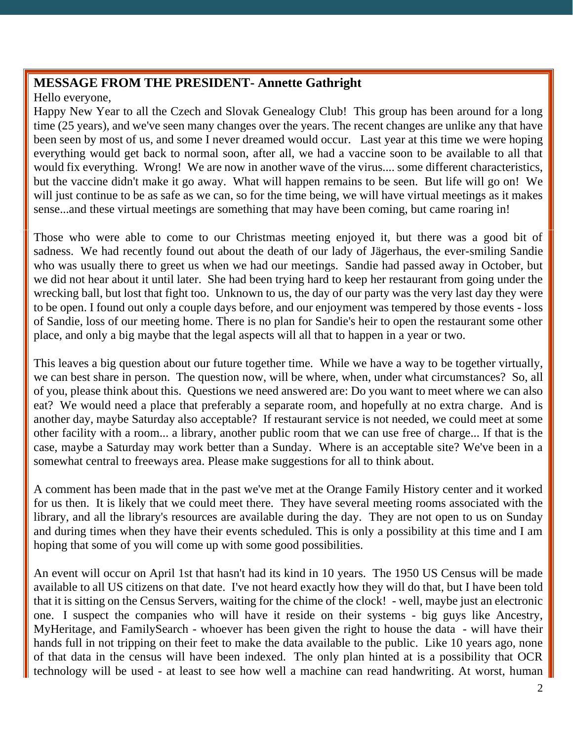# **MESSAGE FROM THE PRESIDENT- Annette Gathright**

Hello everyone,

Happy New Year to all the Czech and Slovak Genealogy Club! This group has been around for a long time (25 years), and we've seen many changes over the years. The recent changes are unlike any that have been seen by most of us, and some I never dreamed would occur. Last year at this time we were hoping everything would get back to normal soon, after all, we had a vaccine soon to be available to all that would fix everything. Wrong! We are now in another wave of the virus.... some different characteristics, but the vaccine didn't make it go away. What will happen remains to be seen. But life will go on! We will just continue to be as safe as we can, so for the time being, we will have virtual meetings as it makes sense...and these virtual meetings are something that may have been coming, but came roaring in!

Those who were able to come to our Christmas meeting enjoyed it, but there was a good bit of sadness. We had recently found out about the death of our lady of Jägerhaus, the ever-smiling Sandie who was usually there to greet us when we had our meetings. Sandie had passed away in October, but we did not hear about it until later. She had been trying hard to keep her restaurant from going under the wrecking ball, but lost that fight too. Unknown to us, the day of our party was the very last day they were to be open. I found out only a couple days before, and our enjoyment was tempered by those events - loss of Sandie, loss of our meeting home. There is no plan for Sandie's heir to open the restaurant some other place, and only a big maybe that the legal aspects will all that to happen in a year or two.

This leaves a big question about our future together time. While we have a way to be together virtually, we can best share in person. The question now, will be where, when, under what circumstances? So, all of you, please think about this. Questions we need answered are: Do you want to meet where we can also eat? We would need a place that preferably a separate room, and hopefully at no extra charge. And is another day, maybe Saturday also acceptable? If restaurant service is not needed, we could meet at some other facility with a room... a library, another public room that we can use free of charge... If that is the case, maybe a Saturday may work better than a Sunday. Where is an acceptable site? We've been in a somewhat central to freeways area. Please make suggestions for all to think about.

A comment has been made that in the past we've met at the Orange Family History center and it worked for us then. It is likely that we could meet there. They have several meeting rooms associated with the library, and all the library's resources are available during the day. They are not open to us on Sunday and during times when they have their events scheduled. This is only a possibility at this time and I am hoping that some of you will come up with some good possibilities.

An event will occur on April 1st that hasn't had its kind in 10 years. The 1950 US Census will be made available to all US citizens on that date. I've not heard exactly how they will do that, but I have been told that it is sitting on the Census Servers, waiting for the chime of the clock! - well, maybe just an electronic one. I suspect the companies who will have it reside on their systems - big guys like Ancestry, MyHeritage, and FamilySearch - whoever has been given the right to house the data - will have their hands full in not tripping on their feet to make the data available to the public. Like 10 years ago, none of that data in the census will have been indexed. The only plan hinted at is a possibility that OCR technology will be used - at least to see how well a machine can read handwriting. At worst, human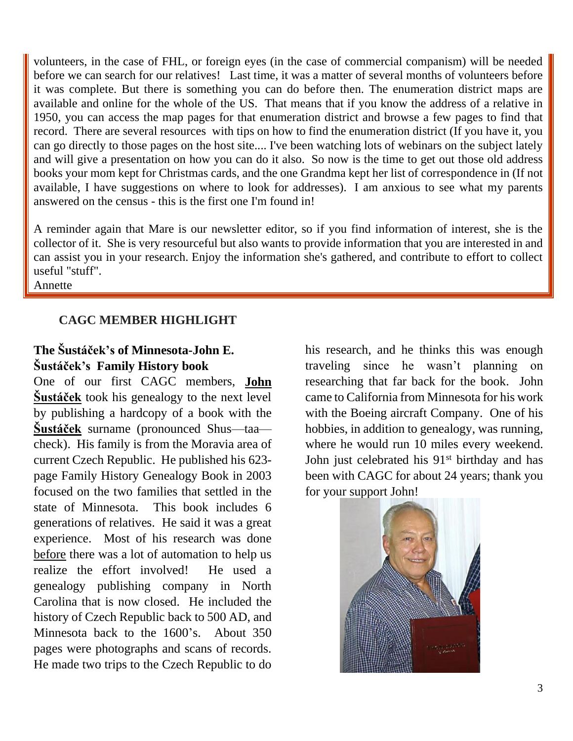volunteers, in the case of FHL, or foreign eyes (in the case of commercial companism) will be needed before we can search for our relatives! Last time, it was a matter of several months of volunteers before it was complete. But there is something you can do before then. The enumeration district maps are available and online for the whole of the US. That means that if you know the address of a relative in 1950, you can access the map pages for that enumeration district and browse a few pages to find that record. There are several resources with tips on how to find the enumeration district (If you have it, you can go directly to those pages on the host site.... I've been watching lots of webinars on the subject lately and will give a presentation on how you can do it also. So now is the time to get out those old address books your mom kept for Christmas cards, and the one Grandma kept her list of correspondence in (If not available, I have suggestions on where to look for addresses). I am anxious to see what my parents answered on the census - this is the first one I'm found in!

A reminder again that Mare is our newsletter editor, so if you find information of interest, she is the collector of it. She is very resourceful but also wants to provide information that you are interested in and can assist you in your research. Enjoy the information she's gathered, and contribute to effort to collect useful "stuff".

Annette

#### **CAGC MEMBER HIGHLIGHT**

# **The Šustáček's of Minnesota-John E. Šustáček's Family History book**

One of our first CAGC members, **John Šustáček** took his genealogy to the next level by publishing a hardcopy of a book with the **Šustáček** surname (pronounced Shus—taa check). His family is from the Moravia area of current Czech Republic. He published his 623 page Family History Genealogy Book in 2003 focused on the two families that settled in the state of Minnesota. This book includes 6 generations of relatives. He said it was a great experience. Most of his research was done before there was a lot of automation to help us realize the effort involved! He used a genealogy publishing company in North Carolina that is now closed. He included the history of Czech Republic back to 500 AD, and Minnesota back to the 1600's. About 350 pages were photographs and scans of records. He made two trips to the Czech Republic to do

his research, and he thinks this was enough traveling since he wasn't planning on researching that far back for the book. John came to California from Minnesota for his work with the Boeing aircraft Company. One of his hobbies, in addition to genealogy, was running, where he would run 10 miles every weekend. John just celebrated his 91<sup>st</sup> birthday and has been with CAGC for about 24 years; thank you for your support John!

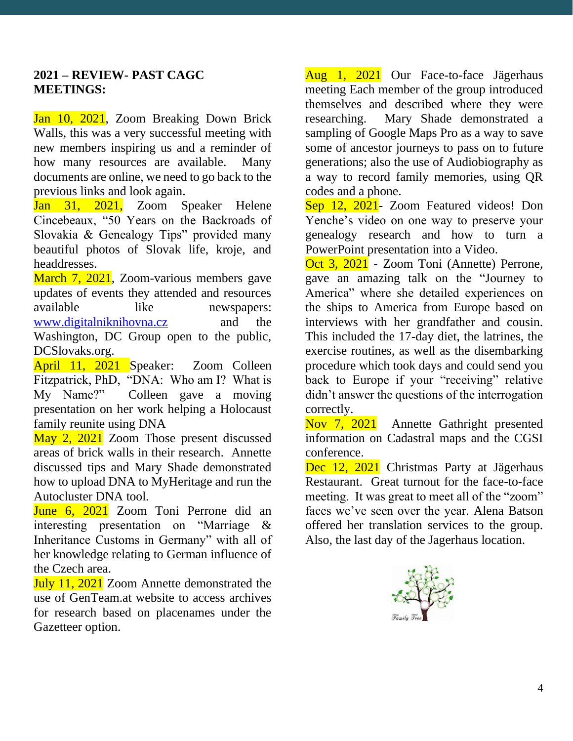#### **2021 – REVIEW- PAST CAGC MEETINGS:**

Jan 10, 2021, Zoom Breaking Down Brick Walls, this was a very successful meeting with new members inspiring us and a reminder of how many resources are available. Many documents are online, we need to go back to the previous links and look again.

Jan 31, 2021, Zoom Speaker Helene Cincebeaux, "50 Years on the Backroads of Slovakia & Genealogy Tips" provided many beautiful photos of Slovak life, kroje, and headdresses.

March 7, 2021, Zoom-various members gave updates of events they attended and resources available like newspapers: [www.digitalniknihovna.cz](http://www.digitalniknihovna.czw/) and the Washington, DC Group open to the public, DCSlovaks.org.

April 11, 2021 Speaker: Zoom Colleen Fitzpatrick, PhD, "DNA: Who am I? What is<br>My Name?" Colleen gave a moving Colleen gave a moving presentation on her work helping a Holocaust family reunite using DNA

May 2, 2021 Zoom Those present discussed areas of brick walls in their research. Annette discussed tips and Mary Shade demonstrated how to upload DNA to MyHeritage and run the Autocluster DNA tool.

June 6, 2021 Zoom Toni Perrone did an interesting presentation on "Marriage & Inheritance Customs in Germany" with all of her knowledge relating to German influence of the Czech area.

**July 11, 2021** Zoom Annette demonstrated the use of GenTeam.at website to access archives for research based on placenames under the Gazetteer option.

Aug 1, 2021 Our Face-to-face Jägerhaus meeting Each member of the group introduced themselves and described where they were researching. Mary Shade demonstrated a sampling of Google Maps Pro as a way to save some of ancestor journeys to pass on to future generations; also the use of Audiobiography as a way to record family memories, using QR codes and a phone.

Sep 12, 2021- Zoom Featured videos! Don Yenche's video on one way to preserve your genealogy research and how to turn a PowerPoint presentation into a Video.

Oct 3, 2021 - Zoom Toni (Annette) Perrone, gave an amazing talk on the "Journey to America" where she detailed experiences on the ships to America from Europe based on interviews with her grandfather and cousin. This included the 17-day diet, the latrines, the exercise routines, as well as the disembarking procedure which took days and could send you back to Europe if your "receiving" relative didn't answer the questions of the interrogation correctly.

Nov 7, 2021 Annette Gathright presented information on Cadastral maps and the CGSI conference.

Dec 12, 2021 Christmas Party at Jägerhaus Restaurant. Great turnout for the face-to-face meeting. It was great to meet all of the "zoom" faces we've seen over the year. Alena Batson offered her translation services to the group. Also, the last day of the Jagerhaus location.

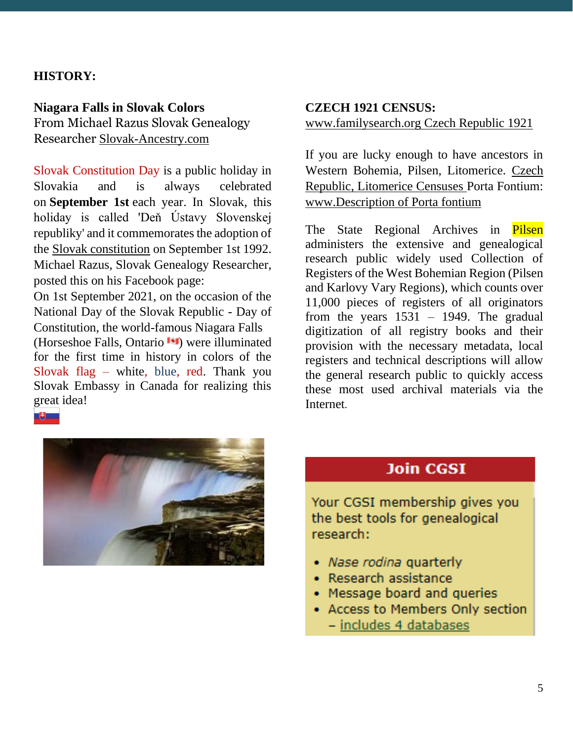# **HISTORY:**

**Niagara Falls in Slovak Colors** From Michael Razus Slovak Genealogy Researcher [Slovak-Ancestry.com](https://www.slovak-ancestry.com/)

Slovak Constitution Day is a public holiday in Slovakia and is always celebrated on **September 1st** each year. In Slovak, this holiday is called 'Deň Ústavy Slovenskej republiky' and it commemorates the adoption of the [Slovak constitution](https://www.bing.com/search?q=Constitution+of+Slovakia&filters=sid%3a4a32035e-7fe0-8b42-b6f0-c7583aab14d9&form=ENTLNK) on September 1st 1992. Michael Razus, Slovak Genealogy Researcher, posted this on his Facebook page:

On 1st September 2021, on the occasion of the National Day of the Slovak Republic - Day of Constitution, the world-famous Niagara Falls (Horseshoe Falls, Ontario **I**II) were illuminated for the first time in history in colors of the Slovak flag – white, blue, red. Thank you Slovak Embassy in Canada for realizing this great idea!

# **CZECH 1921 CENSUS:** [www.familysearch.org Czech Republic 1921](https://www.familysearch.org/search/catalog/results?count=20&placeId=86&query=%2Bplace%3A%22Czech%20Republic%22%20%2Btitle%3A1921%20%2Bavailability%3AOnline&subjectsOpen=1263676-50)

If you are lucky enough to have ancestors in Western Bohemia, Pilsen, Litomerice. [Czech](https://www.familysearch.org/search/catalog/2052698?availability=Online)  [Republic, Litomerice Censuses](https://www.familysearch.org/search/catalog/2052698?availability=Online) Porta Fontium: [www.Description of Porta fontium](https://www.portafontium.eu/description)

The State Regional Archives in Pilsen administers the extensive and genealogical research public widely used Collection of Registers of the West Bohemian Region (Pilsen and Karlovy Vary Regions), which counts over 11,000 pieces of registers of all originators from the years  $1531 - 1949$ . The gradual digitization of all registry books and their provision with the necessary metadata, local registers and technical descriptions will allow the general research public to quickly access these most used archival materials via the Internet.



# **Join CGSI**

Your CGSI membership gives you the best tools for genealogical research:

- Nase rodina quarterly
- · Research assistance
- Message board and queries
- Access to Members Only section
	- includes 4 databases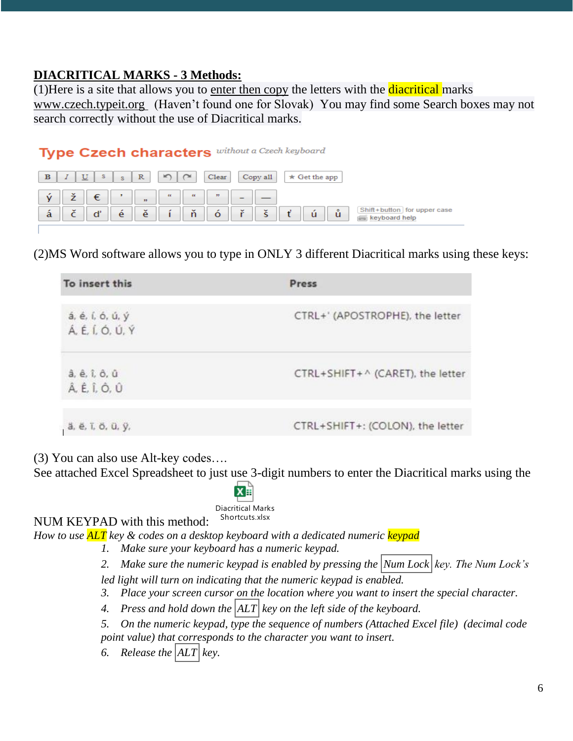# **DIACRITICAL MARKS - 3 Methods:**

(1) Here is a site that allows you to enter then copy the letters with the **diacritical** marks [www.czech.typeit.org](https://czech.typeit.org/) (Haven't found one for Slovak) You may find some Search boxes may not search correctly without the use of Diacritical marks.

# Type Czech characters without a Czech keyboard

| $\mathbf{p}$ |                       | U | s | $\sim$ | $\mathbb R$                | $\sim$             | $\sim$             | Clear        |                        | Copy all          | $\star$ Get the app |                                                               |
|--------------|-----------------------|---|---|--------|----------------------------|--------------------|--------------------|--------------|------------------------|-------------------|---------------------|---------------------------------------------------------------|
|              | $\tilde{\phantom{a}}$ |   | € |        | 33 <sup>°</sup>            | $\epsilon\epsilon$ | $\epsilon\epsilon$ | $\mathbf{r}$ |                        |                   |                     |                                                               |
| a            | $\check{}$            |   |   | e      | $\tilde{\phantom{a}}$<br>e | ,                  | $\mathbf{v}$<br>n  | $\circ$      | $\mathbf{v}$<br>$\sim$ | $\mathbf{v}$<br>s | ů<br>×<br>ū         | Shift+button for upper case<br>keyboard help<br><b>TEMPLE</b> |

(2)MS Word software allows you to type in ONLY 3 different Diacritical marks using these keys:

| To insert this                       | Press                            |  |  |  |
|--------------------------------------|----------------------------------|--|--|--|
| á, é, í, ó, ú, ý<br>Á, É, Í, Ó, Ú, Ý | CTRL+' (APOSTROPHE), the letter  |  |  |  |
| â, ê, î, ô, û<br>Â, Ê, Î, Ô, Û       | CTRL+SHIFT+^ (CARET), the letter |  |  |  |
| ä, ë, ï, ö, ü, ÿ,                    | CTRL+SHIFT+: (COLON), the letter |  |  |  |

(3) You can also use Alt-key codes….

See attached Excel Spreadsheet to just use 3-digit numbers to enter the Diacritical marks using the

Diacritical Marks Shortcuts xlsx

NUM KEYPAD with this method:

*How to use ALT key & codes on a desktop keyboard with a dedicated numeric keypad*

*1. Make sure your keyboard has a numeric keypad.*

*2. Make sure the numeric keypad is enabled by pressing the Num Lock key. The Num Lock's led light will turn on indicating that the numeric keypad is enabled.*

- *3. Place your screen cursor on the location where you want to insert the special character.*
- *4. Press and hold down the ALT key on the left side of the keyboard.*

*5. On the numeric keypad, type the sequence of numbers (Attached Excel file) (decimal code point value) that corresponds to the character you want to insert.*

*6. Release the ALT key.*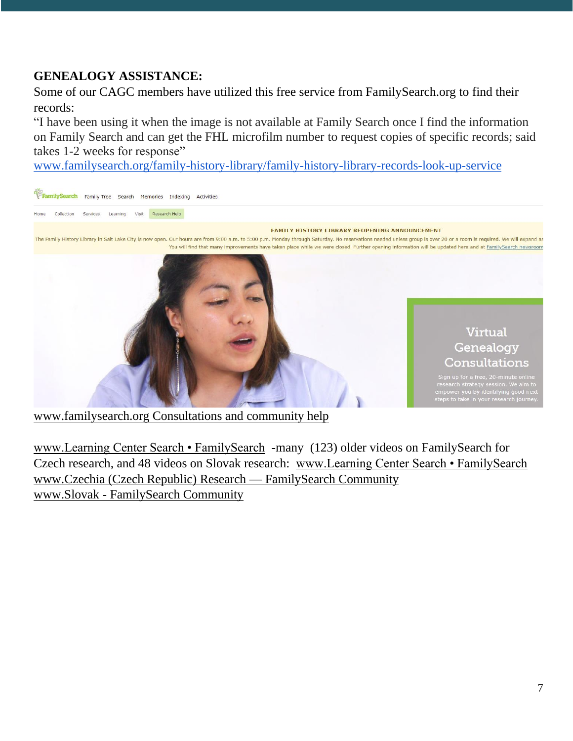# **GENEALOGY ASSISTANCE:**

Some of our CAGC members have utilized this free service from FamilySearch.org to find their records:

"I have been using it when the image is not available at Family Search once I find the information on Family Search and can get the FHL microfilm number to request copies of specific records; said takes 1-2 weeks for response"

[www.familysearch.org/family-history-library/family-history-library-records-look-up-service](http://www.familysearch.org/family-history-library/family-history-library-records-look-up-service)



[www.familysearch.org Consultations and community help](https://www.familysearch.org/en/family-history-library/family-history-library-research-consultations?fbclid=IwAR3HBqjZXK7vk03lICXIGGhDT_yBQqH76W_QRQKreUj8ZAW8M34W39Gkg2M)

[www.Learning Center Search • FamilySearch](https://www.familysearch.org/en/help/helpcenter/learning-center-search/?q=czech) -many (123) older videos on FamilySearch for Czech research, and 48 videos on Slovak research: [www.Learning Center Search • FamilySearch](https://www.familysearch.org/en/help/helpcenter/learning-center-search/?q=slovak)  [www.Czechia \(Czech Republic\) Research —](https://community.familysearch.org/en/group/34-czechia-czech-republic-research) FamilySearch Community www.Slovak - [FamilySearch Community](https://community.familysearch.org/en/search?query=slovak&scope=site)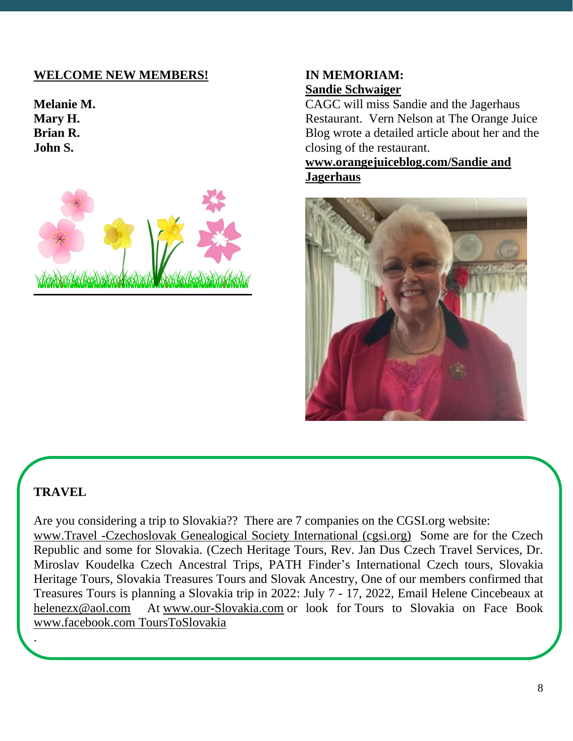# **WELCOME NEW MEMBERS!**

**Melanie M. Mary H. Brian R. John S.**



#### **IN MEMORIAM: Sandie Schwaiger**

CAGC will miss Sandie and the Jagerhaus Restaurant. Vern Nelson at The Orange Juice Blog wrote a detailed article about her and the closing of the restaurant.

**[www.orangejuiceblog.com/Sandie and](https://www.orangejuiceblog.com/2021/10/sandie-of-the-jagerhaus-passes-on/)  [Jagerhaus](https://www.orangejuiceblog.com/2021/10/sandie-of-the-jagerhaus-passes-on/)**



#### **TRAVEL**

.

Are you considering a trip to Slovakia?? There are 7 companies on the CGSI.org website: [www.Travel -Czechoslovak Genealogical Society International \(cgsi.org\)](https://cgsi.org/resources/professional-resources/travel) Some are for the Czech Republic and some for Slovakia. (Czech Heritage Tours, Rev. Jan Dus Czech Travel Services, Dr. Miroslav Koudelka Czech Ancestral Trips, PATH Finder's International Czech tours, Slovakia Heritage Tours, Slovakia Treasures Tours and Slovak Ancestry, One of our members confirmed that Treasures Tours is planning a Slovakia trip in 2022: July 7 - 17, 2022, Email Helene Cincebeaux at [helenezx@aol.com](mailto:helenezx@aol.com) At [www.our-Slovakia.com](http://www.our-slovakia.com/) or look for Tours to Slovakia on Face Book www.facebook.com ToursToSlovakia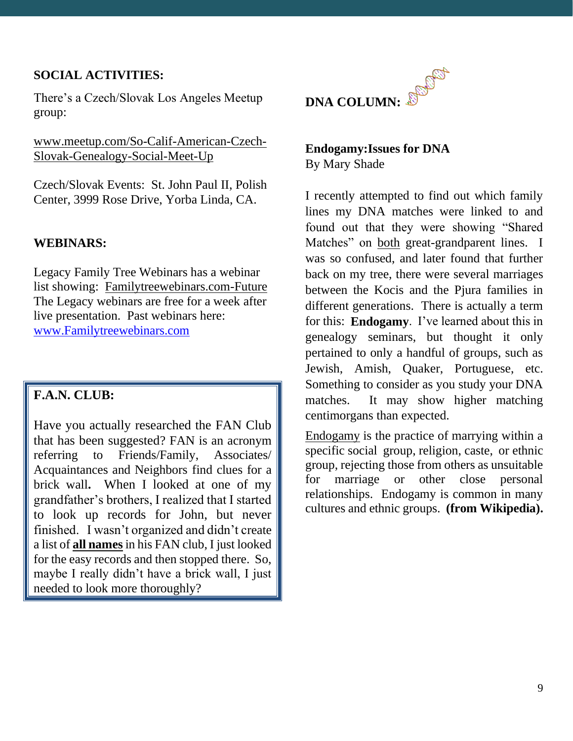# **SOCIAL ACTIVITIES:**

There's a Czech/Slovak Los Angeles Meetup group:

[www.meetup.com/So-Calif-American-Czech-](http://www.meetup.com/So-Calif-American-Czech-Slovak-Genealogy-Social-Meet-Up)[Slovak-Genealogy-Social-Meet-Up](http://www.meetup.com/So-Calif-American-Czech-Slovak-Genealogy-Social-Meet-Up)

Czech/Slovak Events: St. John Paul II, Polish Center, 3999 Rose Drive, Yorba Linda, CA.

#### **WEBINARS:**

Legacy Family Tree Webinars has a webinar list showing: [Familytreewebinars.com-Future](https://familytreewebinars.com/upcoming-webinars.php) The Legacy webinars are free for a week after live presentation. Past webinars here: [www.Familytreewebinars.com](https://familytreewebinars.com/archived_webinars_bydates.php)

# **F.A.N. CLUB:**

Have you actually researched the FAN Club that has been suggested? FAN is an acronym referring to Friends/Family, Associates/ Acquaintances and Neighbors find clues for a brick wall**.** When I looked at one of my grandfather's brothers, I realized that I started to look up records for John, but never finished. I wasn't organized and didn't create a list of **all names** in his FAN club, I just looked for the easy records and then stopped there. So, maybe I really didn't have a brick wall, I just needed to look more thoroughly?



#### **Endogamy:Issues for DNA** By Mary Shade

I recently attempted to find out which family lines my DNA matches were linked to and found out that they were showing "Shared Matches" on both great-grandparent lines. I was so confused, and later found that further back on my tree, there were several marriages between the Kocis and the Pjura families in different generations. There is actually a term for this: **Endogamy**. I've learned about this in genealogy seminars, but thought it only pertained to only a handful of groups, such as Jewish, Amish, Quaker, Portuguese, etc. Something to consider as you study your DNA matches. It may show higher matching centimorgans than expected.

Endogamy is the practice of marrying within a specific social group, religion, caste, or ethnic group, rejecting those from others as unsuitable for marriage or other close personal relationships. Endogamy is common in many cultures and ethnic groups. **(from Wikipedia).**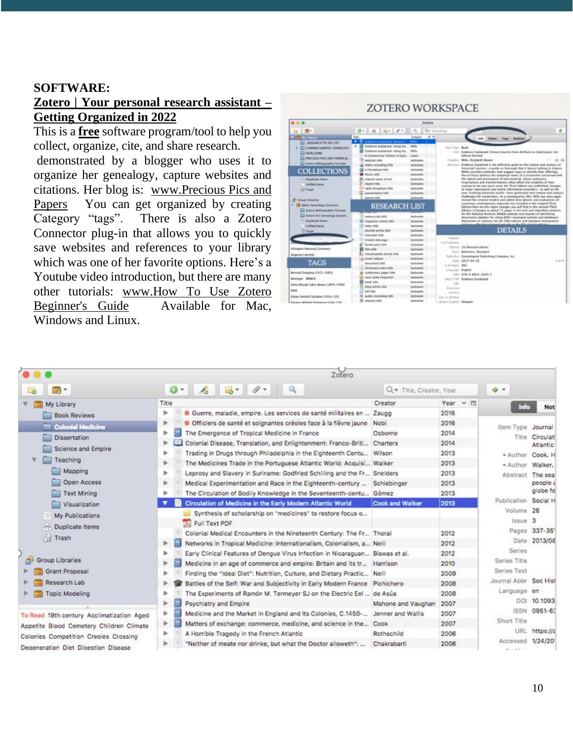#### **SOFTWARE:**

# **[Zotero | Your personal research assistant](https://www.zotero.org/) – Getting Organized in 2022**

This is a **free** software program/tool to help you collect, organize, cite, and share research.

demonstrated by a blogger who uses it to organize her genealogy, capture websites and citations. Her blog is: [www.Precious Pics and](https://preciouspicsandpapers.blogspot.com/)  [Papers](https://preciouspicsandpapers.blogspot.com/) You can get organized by creating Category "tags". There is also a Zotero Connector plug-in that allows you to quickly save websites and references to your library which was one of her favorite options. Here's a Youtube video introduction, but there are many other tutorials: [www.How To Use Zotero](https://www.youtube.com/watch?v=JG7Uq_JFDzE)  [Beginner's Guide](https://www.youtube.com/watch?v=JG7Uq_JFDzE) Available for Mac, Windows and Linux.

|                                                                                                                                                                                                                                                                                                                                                                                                |                                                                                                                                                                                                                                                                                                                                                                                                                                                       | Zakara                                                                                                                                                                                                                                                    |                                                                                                                                                                                                                                                                                                                                                                                                                                                                                                                                                                                                                                                                                                                                                                                                                                                                                                                                                                                                                                                                                                                                                                                                                                                                                                                                                                                                                                                                                                                                               |  |  |
|------------------------------------------------------------------------------------------------------------------------------------------------------------------------------------------------------------------------------------------------------------------------------------------------------------------------------------------------------------------------------------------------|-------------------------------------------------------------------------------------------------------------------------------------------------------------------------------------------------------------------------------------------------------------------------------------------------------------------------------------------------------------------------------------------------------------------------------------------------------|-----------------------------------------------------------------------------------------------------------------------------------------------------------------------------------------------------------------------------------------------------------|-----------------------------------------------------------------------------------------------------------------------------------------------------------------------------------------------------------------------------------------------------------------------------------------------------------------------------------------------------------------------------------------------------------------------------------------------------------------------------------------------------------------------------------------------------------------------------------------------------------------------------------------------------------------------------------------------------------------------------------------------------------------------------------------------------------------------------------------------------------------------------------------------------------------------------------------------------------------------------------------------------------------------------------------------------------------------------------------------------------------------------------------------------------------------------------------------------------------------------------------------------------------------------------------------------------------------------------------------------------------------------------------------------------------------------------------------------------------------------------------------------------------------------------------------|--|--|
|                                                                                                                                                                                                                                                                                                                                                                                                | 0.46014.                                                                                                                                                                                                                                                                                                                                                                                                                                              |                                                                                                                                                                                                                                                           | Q . Itansferral                                                                                                                                                                                                                                                                                                                                                                                                                                                                                                                                                                                                                                                                                                                                                                                                                                                                                                                                                                                                                                                                                                                                                                                                                                                                                                                                                                                                                                                                                                                               |  |  |
| <b>Richard Markets</b>                                                                                                                                                                                                                                                                                                                                                                         | Tide                                                                                                                                                                                                                                                                                                                                                                                                                                                  | Creator                                                                                                                                                                                                                                                   | $\theta$ m<br>tedis<br>Return<br><b>Notes</b><br>Tags.                                                                                                                                                                                                                                                                                                                                                                                                                                                                                                                                                                                                                                                                                                                                                                                                                                                                                                                                                                                                                                                                                                                                                                                                                                                                                                                                                                                                                                                                                        |  |  |
| <b>BISEARCH TO-DO LIST</b><br>CONNER/SAMPLEY CENEALOCY<br>THERLOOKS<br>THRECKIES PICS AND PAPERS IN<br><b>C. Zoneo Bibliographi Formats</b><br><b>COLLECTIONS</b><br><b>Charles are filmers</b><br><b>Unived items</b><br>25 Trash<br><b>20 Crown Libraries</b><br><b>Kaker Cancelegy Krontiser</b><br><b>Colora Bibliographic Formats</b><br>2 Entero his Cannabap Lingde<br>- Duplicate Home | <b>Evidence Englanged History's</b><br>٠<br>Evidence excluined: crong his. Mills<br>٠<br>Evidence excitational: (19 kg Rm.)<br>A Consenting Variety in Early<br>andcast rate<br>video recording side<br>by broadcast title<br>Weight William<br>statute mann of act<br><b>Inquirit Haller</b><br>tadio broadcast other<br><b>EXHIPPEARED STAR</b><br><b>BACKHOOTER</b><br><b>RESEARCH LIST</b><br><b>Valenciarial Gifa</b><br>Wakazinine procés regis | <b>TAKES</b><br>M.O.<br><b>Lowis</b><br><b>GARBARAS</b><br><b>Instruction</b><br><b>GELDLARM</b><br>lastnamai<br><b>Tax Encomed</b><br><b>Internation</b><br>liga knuurnee:<br>lasknamne<br><b>GEERLENE</b><br>lastname<br><b><i><u>IntEnamed</u></i></b> | Jam'Tuck Book<br>Filly Endered Englaned History Sources from Artifacts to Cubergase Srd<br><b>Collidator</b> , Bossinand<br>· Automotive Mills, Franchista Shown.<br>Abstract: Didence Suplained is the definitive guide to the studier, and analysis of<br>historical searces -- a quide se thereugh that it leaves nothing to chance.<br>While countless websites now suppost ways to identify their offerings,<br>fine of those address the analytical result of a resounder conserved with<br>the run,ry and provenance of with material, where numerous<br>incarnations and transformations often affect the relativity of their<br>contact by the two years your the Thred follows was published, changes<br>at major repostories and selline information providers-as well as the<br>exer-evolving electronic world--have generated mim station and atalysis.<br>challenges for researchers. As a consequence. Mrs. Mills has once equin-<br>revised her chaires readels and added descriptions and evaluations of<br>riotherican commencatory materials out included in the cripical Tixed<br>Edition Here are the major changes you sell find in this revised Third<br>Edition «Changes to about 75 pages in the test and industries chatters.<br>for the National Archives (NMA) website and manner of identifying<br>documents tipdates for citing DMFs revamped website and databases<br>Abunations in chations for the DAR website and database interspration.<br>citations selection channel meands at the file Albert exhalts. |  |  |
| <b>GeVed home</b><br><b>TE Treaty</b>                                                                                                                                                                                                                                                                                                                                                          | letter this<br><b>Journal article bike</b>                                                                                                                                                                                                                                                                                                                                                                                                            | <b>Isthans</b><br><b>Talkmanne</b>                                                                                                                                                                                                                        | <b>DETAILS</b>                                                                                                                                                                                                                                                                                                                                                                                                                                                                                                                                                                                                                                                                                                                                                                                                                                                                                                                                                                                                                                                                                                                                                                                                                                                                                                                                                                                                                                                                                                                                |  |  |
| Arkegron National Cemetery<br>Augusta University<br>TAGS<br>Berturd Szeugley (1911-1981)<br><b>Betringer SRAFIS</b><br>Datte Musele Eakes Mourn (1876-1958).<br>DNA<br>Raine Gendall Sampley (1916-120)                                                                                                                                                                                        | C antendeur little<br><b>Instant metroped</b><br>forces paid life<br><b>ER film sink</b><br>encyclopedia.article.trife.<br>ereal subject<br>determine new<br>4 dictionary entry (it)x<br>conference again title<br>(AM FORM INCOVER)<br><b>back little</b><br><b>Sing article 100</b><br>hill title<br>audio incording fifts                                                                                                                          | lastniess<br><b><i><u>INSERIATION</u></i></b><br>Unilmarias<br><b>INTERNATION</b><br>last knocker<br><b>GALERANIA</b><br><b>Tax Elizabeth</b><br>lastname<br><b>Cast Encuring</b><br>issimares:<br><b>lastename</b><br>lastname<br><b>Isabezess</b>       | Valuella<br># of volumes<br>Edition Ted Resised edition<br><b>Baltimore, Maniand</b><br>Paulo<br>Publisher: Genevingtod Publishero Company, Inc.<br>2017-04-03<br>$4 = 1$<br>244<br>of of Pagest 892<br>Engine<br>Lickmainten<br>976-0-8065-2646-3<br><b>Short Title</b><br>Enderson Explained<br>$-81$<br><b>BAKAYOAN</b><br>Archeve                                                                                                                                                                                                                                                                                                                                                                                                                                                                                                                                                                                                                                                                                                                                                                                                                                                                                                                                                                                                                                                                                                                                                                                                         |  |  |

|                                           | Zotero                                                                                 |          |                                          |  |  |  |  |  |  |
|-------------------------------------------|----------------------------------------------------------------------------------------|----------|------------------------------------------|--|--|--|--|--|--|
| a-                                        | $0 - 16$ to $0 - 10$<br>Q + Title, Creator, Year                                       |          | 哈 十                                      |  |  |  |  |  |  |
| My Library                                | Title<br>Creator                                                                       | Year > 巴 | Info<br>Not                              |  |  |  |  |  |  |
| <b>Book Reviews</b>                       | b<br>Guerre, maladie, empire. Les services de santé militaires en  Zaugg               | 2016     |                                          |  |  |  |  |  |  |
| Colonial Medicine                         | Officiers de santé et soignantes créoles face à la fièvre jaune Nobi<br>Þ.             | 2016     | Item Type<br>Journal                     |  |  |  |  |  |  |
| <b>Dissertation</b>                       | ь<br>The Emergence of Tropical Medicine in France<br>Osborne                           | 2014     | Title Circulati                          |  |  |  |  |  |  |
|                                           | Þ<br>Colonial Disease, Translation, and Enlightenment: Franco-Briti<br>Charters        | 2014     | Atlantic                                 |  |  |  |  |  |  |
| Science and Empire                        | ь<br>Trading in Drugs through Philadelphia in the Eighteenth Centu Wilson              | 2013     | * Author Cook, H                         |  |  |  |  |  |  |
| Teaching                                  | r<br>The Medicines Trade in the Portuguese Atlantic World: Acquisi Walker              | 2013     | Walker.<br>* Author                      |  |  |  |  |  |  |
| Mapping                                   | ъ<br>Leprosy and Slavery in Suriname: Godfried Schilling and the Fr Snelders           | 2013     | The sea<br>Abstract                      |  |  |  |  |  |  |
| Open Access                               | Þ<br>Medical Experimentation and Race in the Eighteenth-century  Schiebinger           | 2013     | people a                                 |  |  |  |  |  |  |
| <b>Text Mining</b>                        | The Circulation of Bodily Knowledge in the Seventeenth-centu Gómez<br>ь                | 2013     | globe fo                                 |  |  |  |  |  |  |
| Visualization                             | <b>Cook and Walker</b><br>Circulation of Medicine in the Early Modern Atlantic World   | 2013     | Publication Social H                     |  |  |  |  |  |  |
| My Publications                           | Synthesis of scholarship on "medicines" to restore focus o<br>Full Text PDF            |          | Volume 26<br>Issue 3                     |  |  |  |  |  |  |
| Duplicate Items                           | Colonial Medical Encounters in the Nineteenth Century: The Fr Thoral                   | 2012     | Pages 337-351                            |  |  |  |  |  |  |
| Trash                                     | Þ.<br>Networks in Tropical Medicine: Internationalism, Colonialism, a Neill            | 2012     | 2013/08<br>Date                          |  |  |  |  |  |  |
|                                           | ь<br>Early Clinical Features of Dengue Virus Infection in Nicaraguan Biswas et al.     | 2012     | Series                                   |  |  |  |  |  |  |
| Group Libraries                           | ь<br>Medicine in an age of commerce and empire: Britain and its tr Harrison            | 2010     | Series Title                             |  |  |  |  |  |  |
| Grant Proposal                            | Finding the "Ideal Diet": Nutrition, Culture, and Dietary Practic Neill<br>ь           | 2009     | Series Text                              |  |  |  |  |  |  |
| Research Lab                              | ь<br>Battles of the Self: War and Subjectivity in Early Modern France Pichichero       | 2008     | Journal Abbr Soc Hist                    |  |  |  |  |  |  |
| Topic Modeling                            | r<br>The Experiments of Ramón M. Termeyer SJ on the Electric Eel  de Asúa              | 2008     | Language en                              |  |  |  |  |  |  |
|                                           | r<br>Psychiatry and Empire<br>Mahone and Vaughan                                       | 2007     | 10,1093<br>DOI:                          |  |  |  |  |  |  |
| To Read 19th century Acclimatization Aged | Medicine and the Market in England and Its Colonies, C.1450-<br>Jenner and Wallis<br>r | 2007     | 0951-63<br><b>ISSN</b>                   |  |  |  |  |  |  |
| Appetite Blood Cemetery Children Climate  | r<br>Matters of exchange: commerce, medicine, and science in the<br>Cook               | 2007     | Short Title                              |  |  |  |  |  |  |
| Colonies Competition Creoles Crossing     | A Horrible Tragedy in the French Atlantic<br>Þ<br>Rothschild                           | 2006     | URL<br>https://a                         |  |  |  |  |  |  |
| Degeneration Diet Digestion Disease       | "Neither of meate nor drinke, but what the Doctor alloweth":<br>Chakrabarti<br>Þ.      | 2006     | Accessed 1/24/20<br>All controls for the |  |  |  |  |  |  |

#### **ZOTERO WORKSPACE**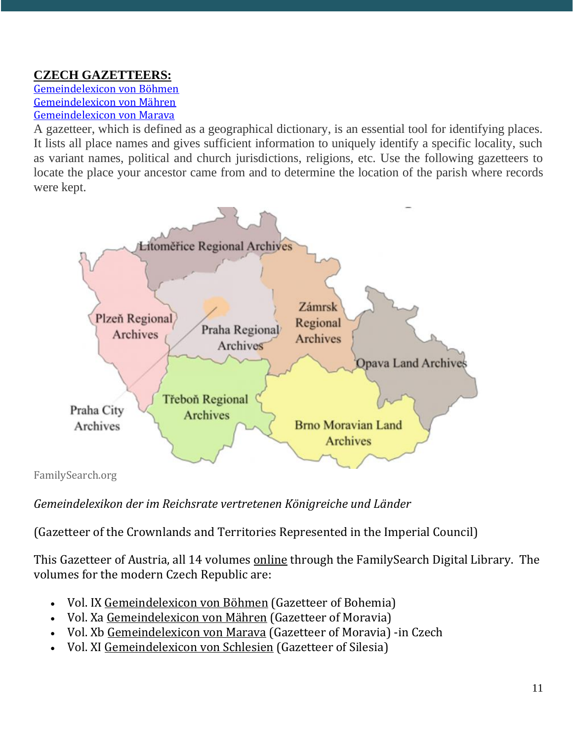# **CZECH GAZETTEERS:**

[Gemeindelexicon von Böhmen](https://www.familysearch.org/library/books/records/item/486720-gemeindelexikon-der-im-reichsrate-vertretenen-konigreiche-und-lander-bd-09-bohmen?offset=1) [Gemeindelexicon von Mähren](https://www.familysearch.org/library/books/records/item/497310-gemeindelexikon-der-im-reichsrate-vertretenen-konigreiche-und-lander-bd-10-mahren?offset=1) [Gemeindelexicon von Marava](https://www.familysearch.org/library/books/records/item/257121-gemeindelexikon-der-im-reichsrate-vertretenen-konigreiche-und-lander-bd-10-morava-text-in-czech?offset=1)

A gazetteer, which is defined as a geographical dictionary, is an essential tool for identifying places. It lists all place names and gives sufficient information to uniquely identify a specific locality, such as variant names, political and church jurisdictions, religions, etc. Use the following gazetteers to locate the place your ancestor came from and to determine the location of the parish where records were kept.



FamilySearch.org

# *Gemeindelexikon der im Reichsrate vertretenen Königreiche und Länder*

(Gazetteer of the Crownlands and Territories Represented in the Imperial Council)

This Gazetteer of Austria, all 14 volumes [online](https://www.familysearch.org/search/catalog/218291?availability=Family%20History%20Library) through the FamilySearch Digital Library. The volumes for the modern Czech Republic are:

- Vol. IX [Gemeindelexicon von Böhmen](https://www.familysearch.org/library/books/records/item/486720-gemeindelexikon-der-im-reichsrate-vertretenen-konigreiche-und-lander-bd-09-bohmen?offset=1) (Gazetteer of Bohemia)
- Vol. Xa [Gemeindelexicon von Mähren](https://www.familysearch.org/library/books/records/item/497310-gemeindelexikon-der-im-reichsrate-vertretenen-konigreiche-und-lander-bd-10-mahren?offset=1) (Gazetteer of Moravia)
- Vol. Xb [Gemeindelexicon von Marava](https://www.familysearch.org/library/books/records/item/257121-gemeindelexikon-der-im-reichsrate-vertretenen-konigreiche-und-lander-bd-10-morava-text-in-czech?offset=1) (Gazetteer of Moravia) -in Czech
- Vol. XI [Gemeindelexicon von Schlesien](https://www.familysearch.org/library/books/records/item/121127-gemeindelexikon-der-im-reichsrate-vertretenen-konigreiche-und-lander-bd-11-schlesien?offset=1) (Gazetteer of Silesia)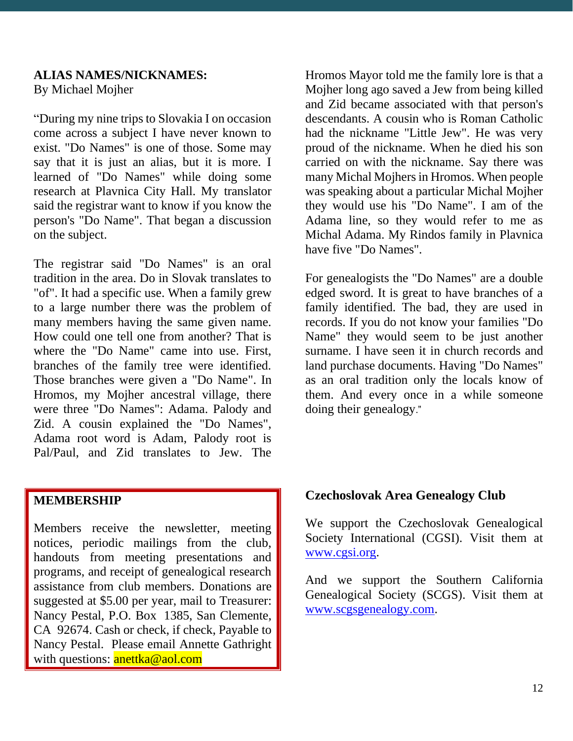#### **ALIAS NAMES/NICKNAMES:** By Michael Mojher

"During my nine trips to Slovakia I on occasion come across a subject I have never known to exist. "Do Names" is one of those. Some may say that it is just an alias, but it is more. I learned of "Do Names" while doing some research at Plavnica City Hall. My translator said the registrar want to know if you know the person's "Do Name". That began a discussion on the subject.

The registrar said "Do Names" is an oral tradition in the area. Do in Slovak translates to "of". It had a specific use. When a family grew to a large number there was the problem of many members having the same given name. How could one tell one from another? That is where the "Do Name" came into use. First, branches of the family tree were identified. Those branches were given a "Do Name". In Hromos, my Mojher ancestral village, there were three "Do Names": Adama. Palody and Zid. A cousin explained the "Do Names", Adama root word is Adam, Palody root is Pal/Paul, and Zid translates to Jew. The

#### **MEMBERSHIP**

Members receive the newsletter, meeting notices, periodic mailings from the club, handouts from meeting presentations and programs, and receipt of genealogical research assistance from club members. Donations are suggested at \$5.00 per year, mail to Treasurer: Nancy Pestal, P.O. Box 1385, San Clemente, CA 92674. Cash or check, if check, Payable to Nancy Pestal. Please email Annette Gathright with questions: anettka@aol.com

Hromos Mayor told me the family lore is that a Mojher long ago saved a Jew from being killed and Zid became associated with that person's descendants. A cousin who is Roman Catholic had the nickname "Little Jew". He was very proud of the nickname. When he died his son carried on with the nickname. Say there was many Michal Mojhers in Hromos. When people was speaking about a particular Michal Mojher they would use his "Do Name". I am of the Adama line, so they would refer to me as Michal Adama. My Rindos family in Plavnica have five "Do Names".

For genealogists the "Do Names" are a double edged sword. It is great to have branches of a family identified. The bad, they are used in records. If you do not know your families "Do Name" they would seem to be just another surname. I have seen it in church records and land purchase documents. Having "Do Names" as an oral tradition only the locals know of them. And every once in a while someone doing their genealogy."

#### **Czechoslovak Area Genealogy Club**

We support the Czechoslovak Genealogical Society International (CGSI). Visit them at [www.cgsi.org.](http://www.cgsi.org/)

And we support the Southern California Genealogical Society (SCGS). Visit them at [www.scgsgenealogy.com.](http://www.scgsgenealogy.com/)